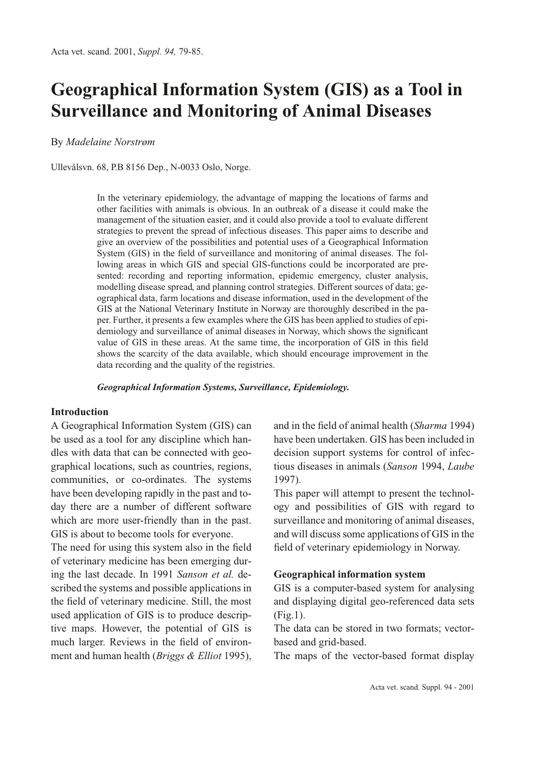# **Geographical Information System (GIS) as a Tool in Surveillance and Monitoring of Animal Diseases**

By *Madelaine Norstrøm*

Ullevålsvn. 68, P.B 8156 Dep., N-0033 Oslo, Norge.

In the veterinary epidemiology, the advantage of mapping the locations of farms and other facilities with animals is obvious. In an outbreak of a disease it could make the management of the situation easier, and it could also provide a tool to evaluate different strategies to prevent the spread of infectious diseases. This paper aims to describe and give an overview of the possibilities and potential uses of a Geographical Information System (GIS) in the field of surveillance and monitoring of animal diseases. The following areas in which GIS and special GIS-functions could be incorporated are presented: recording and reporting information, epidemic emergency, cluster analysis, modelling disease spread, and planning control strategies. Different sources of data; geographical data, farm locations and disease information, used in the development of the GIS at the National Veterinary Institute in Norway are thoroughly described in the paper. Further, it presents a few examples where the GIS has been applied to studies of epidemiology and surveillance of animal diseases in Norway, which shows the significant value of GIS in these areas. At the same time, the incorporation of GIS in this field shows the scarcity of the data available, which should encourage improvement in the data recording and the quality of the registries.

*Geographical Information Systems, Surveillance, Epidemiology.*

#### **Introduction**

A Geographical Information System (GIS) can be used as a tool for any discipline which handles with data that can be connected with geographical locations, such as countries, regions, communities, or co-ordinates. The systems have been developing rapidly in the past and today there are a number of different software which are more user-friendly than in the past. GIS is about to become tools for everyone.

The need for using this system also in the field of veterinary medicine has been emerging during the last decade. In 1991 *Sanson et al.* described the systems and possible applications in the field of veterinary medicine. Still, the most used application of GIS is to produce descriptive maps. However, the potential of GIS is much larger. Reviews in the field of environment and human health (*Briggs & Elliot* 1995),

and in the field of animal health (*Sharma* 1994) have been undertaken. GIS has been included in decision support systems for control of infectious diseases in animals (*Sanson* 1994, *Laube* 1997).

This paper will attempt to present the technology and possibilities of GIS with regard to surveillance and monitoring of animal diseases, and will discuss some applications of GIS in the field of veterinary epidemiology in Norway.

## **Geographical information system**

GIS is a computer-based system for analysing and displaying digital geo-referenced data sets (Fig.1).

The data can be stored in two formats; vectorbased and grid-based.

The maps of the vector-based format display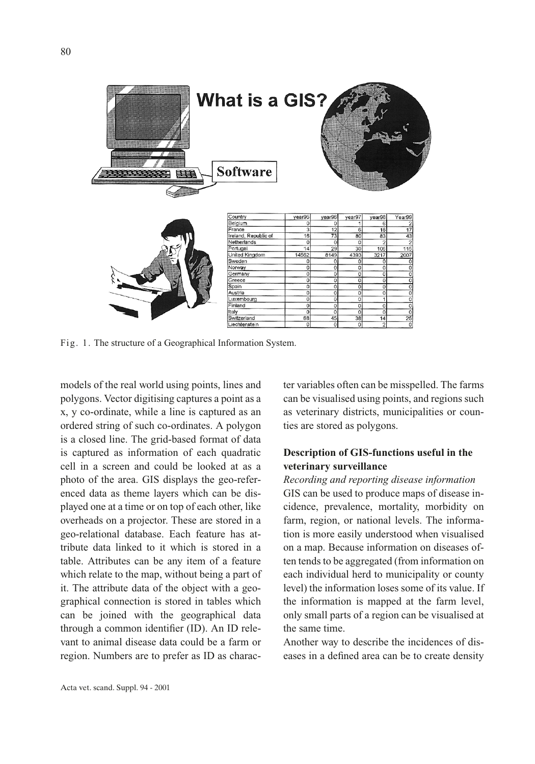

Fig. 1. The structure of a Geographical Information System.

models of the real world using points, lines and polygons. Vector digitising captures a point as a x, y co-ordinate, while a line is captured as an ordered string of such co-ordinates. A polygon is a closed line. The grid-based format of data is captured as information of each quadratic cell in a screen and could be looked at as a photo of the area. GIS displays the geo-referenced data as theme layers which can be displayed one at a time or on top of each other, like overheads on a projector. These are stored in a geo-relational database. Each feature has attribute data linked to it which is stored in a table. Attributes can be any item of a feature which relate to the map, without being a part of it. The attribute data of the object with a geographical connection is stored in tables which can be joined with the geographical data through a common identifier (ID). An ID relevant to animal disease data could be a farm or region. Numbers are to prefer as ID as character variables often can be misspelled. The farms can be visualised using points, and regions such as veterinary districts, municipalities or counties are stored as polygons.

# **Description of GIS-functions useful in the veterinary surveillance**

*Recording and reporting disease information* GIS can be used to produce maps of disease incidence, prevalence, mortality, morbidity on farm, region, or national levels. The information is more easily understood when visualised on a map. Because information on diseases often tends to be aggregated (from information on each individual herd to municipality or county level) the information loses some of its value. If the information is mapped at the farm level, only small parts of a region can be visualised at the same time.

Another way to describe the incidences of diseases in a defined area can be to create density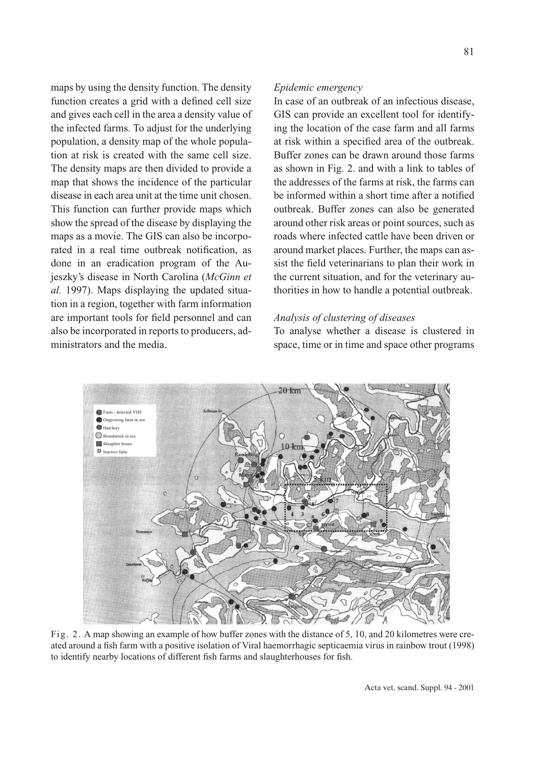maps by using the density function. The density function creates a grid with a defined cell size and gives each cell in the area a density value of the infected farms. To adjust for the underlying population, a density map of the whole population at risk is created with the same cell size. The density maps are then divided to provide a map that shows the incidence of the particular disease in each area unit at the time unit chosen. This function can further provide maps which show the spread of the disease by displaying the maps as a movie. The GIS can also be incorporated in a real time outbreak notification, as done in an eradication program of the Aujeszky's disease in North Carolina (*McGinn et al.* 1997). Maps displaying the updated situation in a region, together with farm information are important tools for field personnel and can also be incorporated in reports to producers, administrators and the media.

## *Epidemic emergency*

In case of an outbreak of an infectious disease, GIS can provide an excellent tool for identifying the location of the case farm and all farms at risk within a specified area of the outbreak. Buffer zones can be drawn around those farms as shown in Fig. 2. and with a link to tables of the addresses of the farms at risk, the farms can be informed within a short time after a notified outbreak. Buffer zones can also be generated around other risk areas or point sources, such as roads where infected cattle have been driven or around market places. Further, the maps can assist the field veterinarians to plan their work in the current situation, and for the veterinary authorities in how to handle a potential outbreak.

## *Analysis of clustering of diseases*

To analyse whether a disease is clustered in space, time or in time and space other programs



Fig. 2. A map showing an example of how buffer zones with the distance of 5, 10, and 20 kilometres were created around a fish farm with a positive isolation of Viral haemorrhagic septicaemia virus in rainbow trout (1998) to identify nearby locations of different fish farms and slaughterhouses for fish.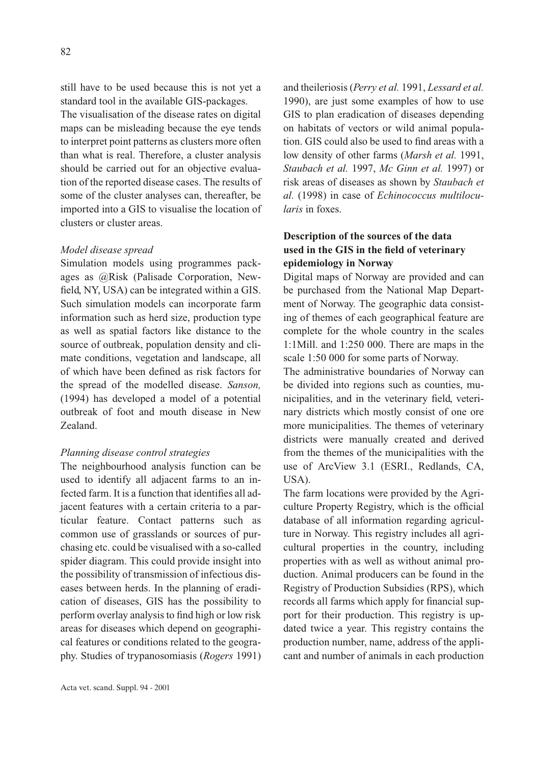still have to be used because this is not yet a standard tool in the available GIS-packages.

The visualisation of the disease rates on digital maps can be misleading because the eye tends to interpret point patterns as clusters more often than what is real. Therefore, a cluster analysis should be carried out for an objective evaluation of the reported disease cases. The results of some of the cluster analyses can, thereafter, be imported into a GIS to visualise the location of clusters or cluster areas.

### *Model disease spread*

Simulation models using programmes packages as @Risk (Palisade Corporation, Newfield, NY, USA) can be integrated within a GIS. Such simulation models can incorporate farm information such as herd size, production type as well as spatial factors like distance to the source of outbreak, population density and climate conditions, vegetation and landscape, all of which have been defined as risk factors for the spread of the modelled disease. *Sanson,* (1994) has developed a model of a potential outbreak of foot and mouth disease in New Zealand.

## *Planning disease control strategies*

The neighbourhood analysis function can be used to identify all adjacent farms to an infected farm. It is a function that identifies all adjacent features with a certain criteria to a particular feature. Contact patterns such as common use of grasslands or sources of purchasing etc. could be visualised with a so-called spider diagram. This could provide insight into the possibility of transmission of infectious diseases between herds. In the planning of eradication of diseases, GIS has the possibility to perform overlay analysis to find high or low risk areas for diseases which depend on geographical features or conditions related to the geography. Studies of trypanosomiasis (*Rogers* 1991)

and theileriosis (*Perry et al.* 1991, *Lessard et al.* 1990), are just some examples of how to use GIS to plan eradication of diseases depending on habitats of vectors or wild animal population. GIS could also be used to find areas with a low density of other farms (*Marsh et al.* 1991, *Staubach et al.* 1997, *Mc Ginn et al.* 1997) or risk areas of diseases as shown by *Staubach et al.* (1998) in case of *Echinococcus multilocularis* in foxes.

# **Description of the sources of the data used in the GIS in the field of veterinary epidemiology in Norway**

Digital maps of Norway are provided and can be purchased from the National Map Department of Norway. The geographic data consisting of themes of each geographical feature are complete for the whole country in the scales 1:1Mill. and 1:250 000. There are maps in the scale 1:50 000 for some parts of Norway.

The administrative boundaries of Norway can be divided into regions such as counties, municipalities, and in the veterinary field, veterinary districts which mostly consist of one ore more municipalities. The themes of veterinary districts were manually created and derived from the themes of the municipalities with the use of ArcView 3.1 (ESRI., Redlands, CA, USA).

The farm locations were provided by the Agriculture Property Registry, which is the official database of all information regarding agriculture in Norway. This registry includes all agricultural properties in the country, including properties with as well as without animal production. Animal producers can be found in the Registry of Production Subsidies (RPS), which records all farms which apply for financial support for their production. This registry is updated twice a year. This registry contains the production number, name, address of the applicant and number of animals in each production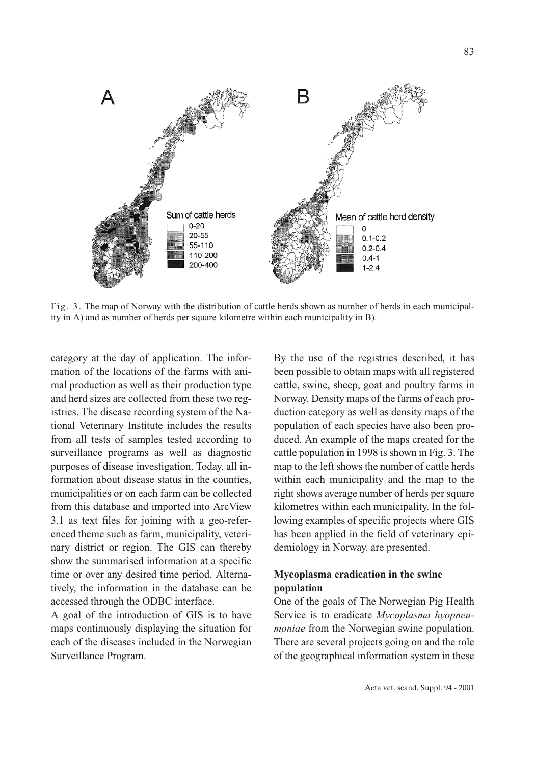

Fig. 3. The map of Norway with the distribution of cattle herds shown as number of herds in each municipality in A) and as number of herds per square kilometre within each municipality in B).

category at the day of application. The information of the locations of the farms with animal production as well as their production type and herd sizes are collected from these two registries. The disease recording system of the National Veterinary Institute includes the results from all tests of samples tested according to surveillance programs as well as diagnostic purposes of disease investigation. Today, all information about disease status in the counties, municipalities or on each farm can be collected from this database and imported into ArcView 3.1 as text files for joining with a geo-referenced theme such as farm, municipality, veterinary district or region. The GIS can thereby show the summarised information at a specific time or over any desired time period. Alternatively, the information in the database can be accessed through the ODBC interface.

A goal of the introduction of GIS is to have maps continuously displaying the situation for each of the diseases included in the Norwegian Surveillance Program.

By the use of the registries described, it has been possible to obtain maps with all registered cattle, swine, sheep, goat and poultry farms in Norway. Density maps of the farms of each production category as well as density maps of the population of each species have also been produced. An example of the maps created for the cattle population in 1998 is shown in Fig. 3. The map to the left shows the number of cattle herds within each municipality and the map to the right shows average number of herds per square kilometres within each municipality. In the following examples of specific projects where GIS has been applied in the field of veterinary epidemiology in Norway. are presented.

# **Mycoplasma eradication in the swine population**

One of the goals of The Norwegian Pig Health Service is to eradicate *Mycoplasma hyopneumoniae* from the Norwegian swine population. There are several projects going on and the role of the geographical information system in these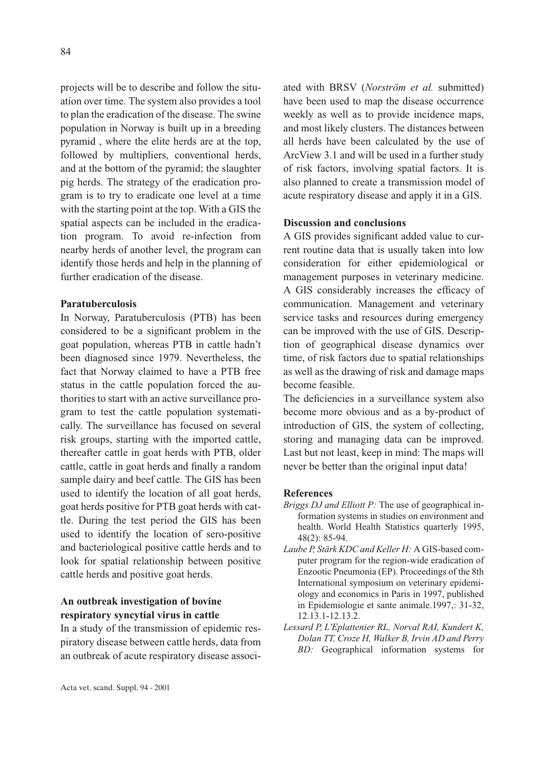projects will be to describe and follow the situation over time. The system also provides a tool to plan the eradication of the disease. The swine population in Norway is built up in a breeding pyramid , where the elite herds are at the top, followed by multipliers, conventional herds, and at the bottom of the pyramid; the slaughter pig herds. The strategy of the eradication program is to try to eradicate one level at a time with the starting point at the top. With a GIS the spatial aspects can be included in the eradication program. To avoid re-infection from nearby herds of another level, the program can identify those herds and help in the planning of further eradication of the disease.

## **Paratuberculosis**

In Norway, Paratuberculosis (PTB) has been considered to be a significant problem in the goat population, whereas PTB in cattle hadn't been diagnosed since 1979. Nevertheless, the fact that Norway claimed to have a PTB free status in the cattle population forced the authorities to start with an active surveillance program to test the cattle population systematically. The surveillance has focused on several risk groups, starting with the imported cattle, thereafter cattle in goat herds with PTB, older cattle, cattle in goat herds and finally a random sample dairy and beef cattle. The GIS has been used to identify the location of all goat herds, goat herds positive for PTB goat herds with cattle. During the test period the GIS has been used to identify the location of sero-positive and bacteriological positive cattle herds and to look for spatial relationship between positive cattle herds and positive goat herds.

# **An outbreak investigation of bovine respiratory syncytial virus in cattle**

In a study of the transmission of epidemic respiratory disease between cattle herds, data from an outbreak of acute respiratory disease associated with BRSV (*Norström et al.* submitted) have been used to map the disease occurrence weekly as well as to provide incidence maps, and most likely clusters. The distances between all herds have been calculated by the use of ArcView 3.1 and will be used in a further study of risk factors, involving spatial factors. It is also planned to create a transmission model of acute respiratory disease and apply it in a GIS.

## **Discussion and conclusions**

A GIS provides significant added value to current routine data that is usually taken into low consideration for either epidemiological or management purposes in veterinary medicine. A GIS considerably increases the efficacy of communication. Management and veterinary service tasks and resources during emergency can be improved with the use of GIS. Description of geographical disease dynamics over time, of risk factors due to spatial relationships as well as the drawing of risk and damage maps become feasible.

The deficiencies in a surveillance system also become more obvious and as a by-product of introduction of GIS, the system of collecting, storing and managing data can be improved. Last but not least, keep in mind: The maps will never be better than the original input data!

#### **References**

- *Briggs DJ and Elliott P:* The use of geographical information systems in studies on environment and health. World Health Statistics quarterly 1995, 48(2): 85-94.
- *Laube P, Stärk KDC and Keller H:* A GIS-based computer program for the region-wide eradication of Enzootic Pneumonia (EP). Proceedings of the 8th International symposium on veterinary epidemiology and economics in Paris in 1997, published in Epidemiologie et sante animale.1997,: 31-32, 12.13.1-12.13.2.
- *Lessard P, L'Eplattenier RL, Norval RAI, Kundert K, Dolan TT, Croze H, Walker B, Irvin AD and Perry BD:* Geographical information systems for